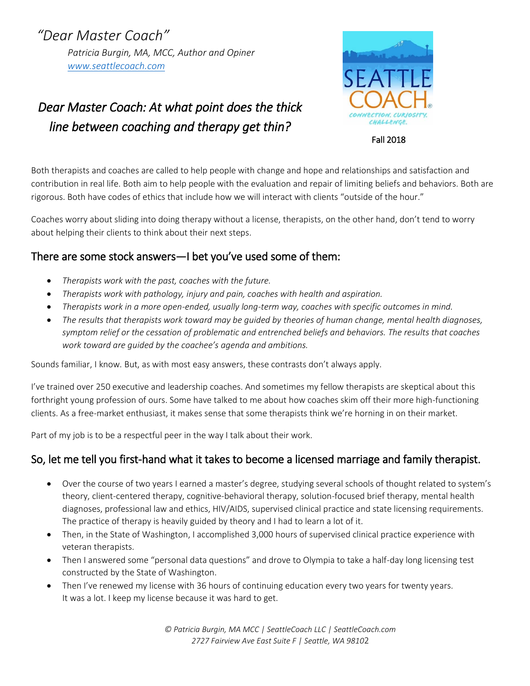*"Dear Master Coach" Patricia Burgin, MA, MCC, Author and Opiner [www.seattlecoach.com](http://www.seattlecoach.com/)*

# *Dear Master Coach: At what point does the thick line between coaching and therapy get thin?*



Fall 2018

Both therapists and coaches are called to help people with change and hope and relationships and satisfaction and contribution in real life. Both aim to help people with the evaluation and repair of limiting beliefs and behaviors. Both are rigorous. Both have codes of ethics that include how we will interact with clients "outside of the hour."

Coaches worry about sliding into doing therapy without a license, therapists, on the other hand, don't tend to worry about helping their clients to think about their next steps.

## There are some stock answers—I bet you've used some of them:

- *Therapists work with the past, coaches with the future.*
- *Therapists work with pathology, injury and pain, coaches with health and aspiration.*
- *Therapists work in a more open-ended, usually long-term way, coaches with specific outcomes in mind.*
- *The results that therapists work toward may be guided by theories of human change, mental health diagnoses, symptom relief or the cessation of problematic and entrenched beliefs and behaviors. The results that coaches work toward are guided by the coachee's agenda and ambitions.*

Sounds familiar, I know. But, as with most easy answers, these contrasts don't always apply.

I've trained over 250 executive and leadership coaches. And sometimes my fellow therapists are skeptical about this forthright young profession of ours. Some have talked to me about how coaches skim off their more high-functioning clients. As a free-market enthusiast, it makes sense that some therapists think we're horning in on their market.

Part of my job is to be a respectful peer in the way I talk about their work.

## So, let me tell you first-hand what it takes to become a licensed marriage and family therapist.

- Over the course of two years I earned a master's degree, studying several schools of thought related to system's theory, client-centered therapy, cognitive-behavioral therapy, solution-focused brief therapy, mental health diagnoses, professional law and ethics, HIV/AIDS, supervised clinical practice and state licensing requirements. The practice of therapy is heavily guided by theory and I had to learn a lot of it.
- Then, in the State of Washington, I accomplished 3,000 hours of supervised clinical practice experience with veteran therapists.
- Then I answered some "personal data questions" and drove to Olympia to take a half-day long licensing test constructed by the State of Washington.
- Then I've renewed my license with 36 hours of continuing education every two years for twenty years. It was a lot. I keep my license because it was hard to get.

*© Patricia Burgin, MA MCC | SeattleCoach LLC | SeattleCoach.com 2727 Fairview Ave East Suite F | Seattle, WA 9810*2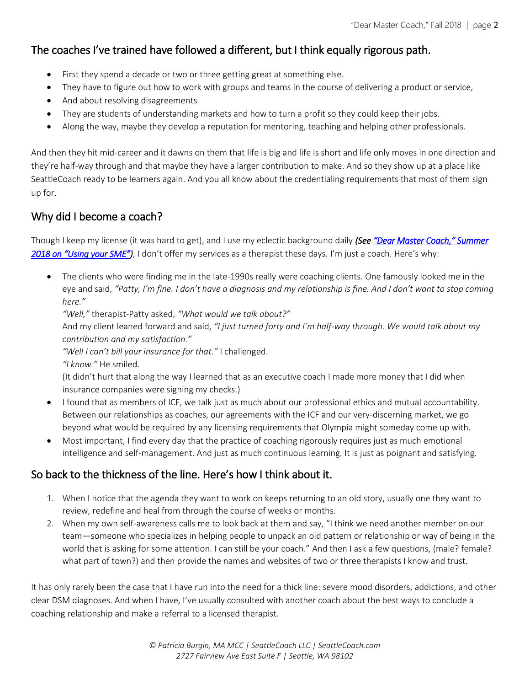# The coaches I've trained have followed a different, but I think equally rigorous path.

- First they spend a decade or two or three getting great at something else.
- They have to figure out how to work with groups and teams in the course of delivering a product or service,
- And about resolving disagreements
- They are students of understanding markets and how to turn a profit so they could keep their jobs.
- Along the way, maybe they develop a reputation for mentoring, teaching and helping other professionals.

And then they hit mid-career and it dawns on them that life is big and life is short and life only moves in one direction and they're half-way through and that maybe they have a larger contribution to make. And so they show up at a place like SeattleCoach ready to be learners again. And you all know about the credentialing requirements that most of them sign up for.

### Why did I become a coach?

Though I keep my license (it was hard to get), and I use my eclectic background daily *(See ["Dear Master Coach," Summer](https://www.seattlecoach.com/dear-master-coach-blog/the-biggest-challenge-for-a-coach-with-some-sme-you-have-a-lot-of-experience-with-this-what-do-you-think)  [2018 on "Using your SME"](https://www.seattlecoach.com/dear-master-coach-blog/the-biggest-challenge-for-a-coach-with-some-sme-you-have-a-lot-of-experience-with-this-what-do-you-think))*, I don't offer my services as a therapist these days. I'm just a coach. Here's why:

• The clients who were finding me in the late-1990s really were coaching clients. One famously looked me in the eye and said, *"Patty, I'm fine. I don't have a diagnosis and my relationship is fine. And I don't want to stop coming here."*

*"Well,"* therapist-Patty asked, *"What would we talk about?"*

And my client leaned forward and said, *"I just turned forty and I'm half-way through. We would talk about my contribution and my satisfaction."*

*"Well I can't bill your insurance for that."* I challenged.

*"I know."* He smiled.

(It didn't hurt that along the way I learned that as an executive coach I made more money that I did when insurance companies were signing my checks.)

- I found that as members of ICF, we talk just as much about our professional ethics and mutual accountability. Between our relationships as coaches, our agreements with the ICF and our very-discerning market, we go beyond what would be required by any licensing requirements that Olympia might someday come up with.
- Most important, I find every day that the practice of coaching rigorously requires just as much emotional intelligence and self-management. And just as much continuous learning. It is just as poignant and satisfying.

#### So back to the thickness of the line. Here's how I think about it.

- 1. When I notice that the agenda they want to work on keeps returning to an old story, usually one they want to review, redefine and heal from through the course of weeks or months.
- 2. When my own self-awareness calls me to look back at them and say, "I think we need another member on our team—someone who specializes in helping people to unpack an old pattern or relationship or way of being in the world that is asking for some attention. I can still be your coach." And then I ask a few questions, (male? female? what part of town?) and then provide the names and websites of two or three therapists I know and trust.

It has only rarely been the case that I have run into the need for a thick line: severe mood disorders, addictions, and other clear DSM diagnoses. And when I have, I've usually consulted with another coach about the best ways to conclude a coaching relationship and make a referral to a licensed therapist.